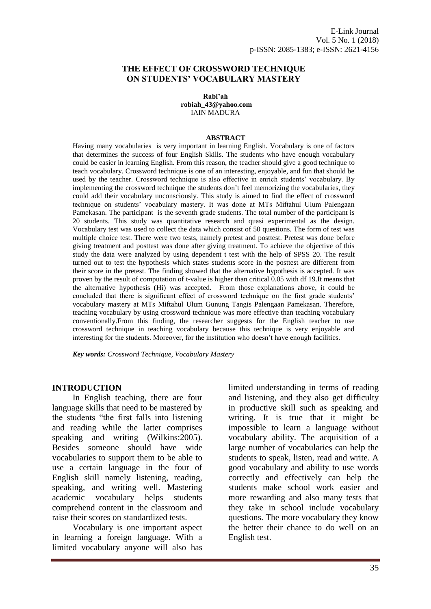### **THE EFFECT OF CROSSWORD TECHNIQUE ON STUDENTS' VOCABULARY MASTERY**

**Rabi'ah [robiah\\_43@yahoo.com](mailto:robiah_43@yahoo.com)** IAIN MADURA

#### **ABSTRACT**

Having many vocabularies is very important in learning English. Vocabulary is one of factors that determines the success of four English Skills. The students who have enough vocabulary could be easier in learning English. From this reason, the teacher should give a good technique to teach vocabulary. Crossword technique is one of an interesting, enjoyable, and fun that should be used by the teacher. Crossword technique is also effective in enrich students' vocabulary. By implementing the crossword technique the students don't feel memorizing the vocabularies, they could add their vocabulary unconsciously. This study is aimed to find the effect of crossword technique on students' vocabulary mastery. It was done at MTs Miftahul Ulum Palengaan Pamekasan. The participant is the seventh grade students. The total number of the participant is 20 students. This study was quantitative research and quasi experimental as the design. Vocabulary test was used to collect the data which consist of 50 questions. The form of test was multiple choice test. There were two tests, namely pretest and posttest. Pretest was done before giving treatment and posttest was done after giving treatment. To achieve the objective of this study the data were analyzed by using dependent t test with the help of SPSS 20. The result turned out to test the hypothesis which states students score in the posttest are different from their score in the pretest. The finding showed that the alternative hypothesis is accepted. It was proven by the result of computation of t-value is higher than critical 0.05 with df 19.It means that the alternative hypothesis (Hi) was accepted. From those explanations above, it could be concluded that there is significant effect of crossword technique on the first grade students' vocabulary mastery at MTs Miftahul Ulum Gunung Tangis Palengaan Pamekasan. Therefore, teaching vocabulary by using crossword technique was more effective than teaching vocabulary conventionally.From this finding, the researcher suggests for the English teacher to use crossword technique in teaching vocabulary because this technique is very enjoyable and interesting for the students. Moreover, for the institution who doesn't have enough facilities.

*Key words: Crossword Technique, Vocabulary Mastery*

#### **INTRODUCTION**

In English teaching, there are four language skills that need to be mastered by the students "the first falls into listening and reading while the latter comprises speaking and writing (Wilkins:2005). Besides someone should have wide vocabularies to support them to be able to use a certain language in the four of English skill namely listening, reading, speaking, and writing well. Mastering academic vocabulary helps students comprehend content in the classroom and raise their scores on standardized tests.

Vocabulary is one important aspect in learning a foreign language. With a limited vocabulary anyone will also has

limited understanding in terms of reading and listening, and they also get difficulty in productive skill such as speaking and writing. It is true that it might be impossible to learn a language without vocabulary ability. The acquisition of a large number of vocabularies can help the students to speak, listen, read and write. A good vocabulary and ability to use words correctly and effectively can help the students make school work easier and more rewarding and also many tests that they take in school include vocabulary questions. The more vocabulary they know the better their chance to do well on an English test.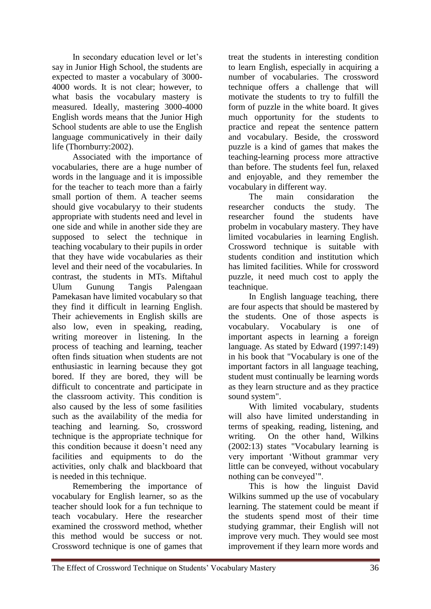In secondary education level or let's say in Junior High School, the students are expected to master a vocabulary of 3000- 4000 words. It is not clear; however, to what basis the vocabulary mastery is measured. Ideally, mastering 3000-4000 English words means that the Junior High School students are able to use the English language communicatively in their daily life (Thornburry:2002).

Associated with the importance of vocabularies, there are a huge number of words in the language and it is impossible for the teacher to teach more than a fairly small portion of them. A teacher seems should give vocabularyy to their students appropriate with students need and level in one side and while in another side they are supposed to select the technique in teaching vocabulary to their pupils in order that they have wide vocabularies as their level and their need of the vocabularies. In contrast, the students in MTs. Miftahul Ulum Gunung Tangis Palengaan Pamekasan have limited vocabulary so that they find it difficult in learning English. Their achievements in English skills are also low, even in speaking, reading, writing moreover in listening. In the process of teaching and learning, teacher often finds situation when students are not enthusiastic in learning because they got bored. If they are bored, they will be difficult to concentrate and participate in the classroom activity. This condition is also caused by the less of some fasilities such as the availability of the media for teaching and learning. So, crossword technique is the appropriate technique for this condition because it doesn't need any facilities and equipments to do the activities, only chalk and blackboard that is needed in this technique.

Remembering the importance of vocabulary for English learner, so as the teacher should look for a fun technique to teach vocabulary. Here the researcher examined the crossword method, whether this method would be success or not. Crossword technique is one of games that treat the students in interesting condition to learn English, especially in acquiring a number of vocabularies. The crossword technique offers a challenge that will motivate the students to try to fulfill the form of puzzle in the white board. It gives much opportunity for the students to practice and repeat the sentence pattern and vocabulary. Beside, the crossword puzzle is a kind of games that makes the teaching-learning process more attractive than before. The students feel fun, relaxed and enjoyable, and they remember the vocabulary in different way.

The main considaration the researcher conducts the study. The researcher found the students have probelm in vocabulary mastery. They have limited vocabularies in learning English. Crossword technique is suitable with students condition and institution which has limited facilities. While for crossword puzzle, it need much cost to apply the teachnique.

In English language teaching, there are four aspects that should be mastered by the students. One of those aspects is vocabulary. Vocabulary is one of important aspects in learning a foreign language. As stated by Edward (1997:149) in his book that "Vocabulary is one of the important factors in all language teaching, student must continually be learning words as they learn structure and as they practice sound system".

With limited vocabulary, students will also have limited understanding in terms of speaking, reading, listening, and writing. On the other hand, Wilkins (2002:13) states "Vocabulary learning is very important 'Without grammar very little can be conveyed, without vocabulary nothing can be conveyed'".

This is how the linguist David Wilkins summed up the use of vocabulary learning. The statement could be meant if the students spend most of their time studying grammar, their English will not improve very much. They would see most improvement if they learn more words and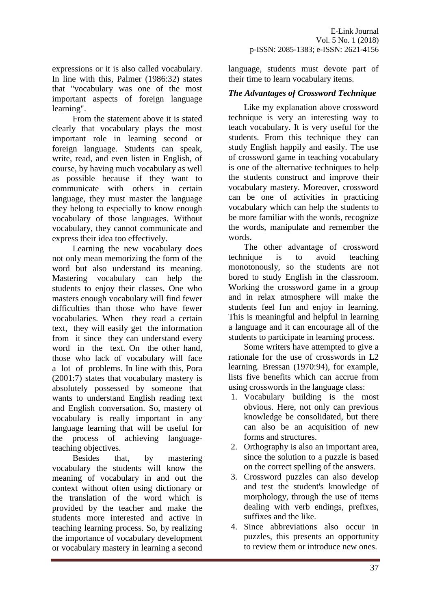expressions or it is also called vocabulary. In line with this, Palmer (1986:32) states that "vocabulary was one of the most important aspects of foreign language learning".

From the statement above it is stated clearly that vocabulary plays the most important role in learning second or foreign language. Students can speak, write, read, and even listen in English, of course, by having much vocabulary as well as possible because if they want to communicate with others in certain language, they must master the language they belong to especially to know enough vocabulary of those languages. Without vocabulary, they cannot communicate and express their idea too effectively.

Learning the new vocabulary does not only mean memorizing the form of the word but also understand its meaning. Mastering vocabulary can help the students to enjoy their classes. One who masters enough vocabulary will find fewer difficulties than those who have fewer vocabularies. When they read a certain text, they will easily get the information from it since they can understand every word in the text. On the other hand, those who lack of vocabulary will face a lot of problems. In line with this, Pora (2001:7) states that vocabulary mastery is absolutely possessed by someone that wants to understand English reading text and English conversation. So, mastery of vocabulary is really important in any language learning that will be useful for the process of achieving languageteaching objectives.

Besides that, by mastering vocabulary the students will know the meaning of vocabulary in and out the context without often using dictionary or the translation of the word which is provided by the teacher and make the students more interested and active in teaching learning process. So, by realizing the importance of vocabulary development or vocabulary mastery in learning a second

language, students must devote part of their time to learn vocabulary items.

# *The Advantages of Crossword Technique*

Like my explanation above crossword technique is very an interesting way to teach vocabulary. It is very useful for the students. From this technique they can study English happily and easily. The use of crossword game in teaching vocabulary is one of the alternative techniques to help the students construct and improve their vocabulary mastery. Moreover, crossword can be one of activities in practicing vocabulary which can help the students to be more familiar with the words, recognize the words, manipulate and remember the words.

The other advantage of crossword technique is to avoid teaching monotonously, so the students are not bored to study English in the classroom. Working the crossword game in a group and in relax atmosphere will make the students feel fun and enjoy in learning. This is meaningful and helpful in learning a language and it can encourage all of the students to participate in learning process.

Some writers have attempted to give a rationale for the use of crosswords in L2 learning. Bressan (1970:94), for example, lists five benefits which can accrue from using crosswords in the language class:

- 1. Vocabulary building is the most obvious. Here, not only can previous knowledge be consolidated, but there can also be an acquisition of new forms and structures.
- 2. Orthography is also an important area, since the solution to a puzzle is based on the correct spelling of the answers.
- 3. Crossword puzzles can also develop and test the student's knowledge of morphology, through the use of items dealing with verb endings, prefixes, suffixes and the like.
- 4. Since abbreviations also occur in puzzles, this presents an opportunity to review them or introduce new ones.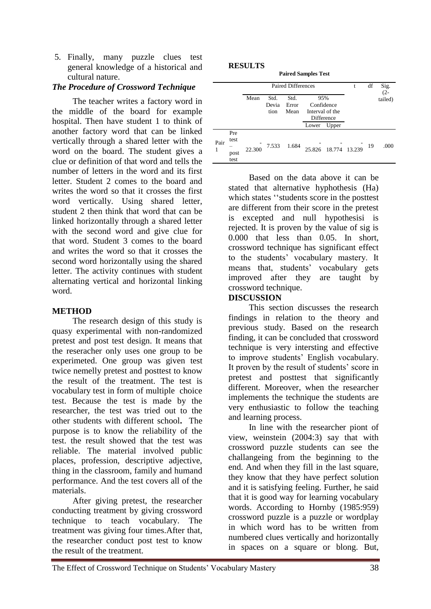5. Finally, many puzzle clues test general knowledge of a historical and cultural nature.

# *The Procedure of Crossword Technique*

The teacher writes a factory word in the middle of the board for example hospital. Then have student 1 to think of another factory word that can be linked vertically through a shared letter with the word on the board. The student gives a clue or definition of that word and tells the number of letters in the word and its first letter. Student 2 comes to the board and writes the word so that it crosses the first word vertically. Using shared letter, student 2 then think that word that can be linked horizontally through a shared letter with the second word and give clue for that word. Student 3 comes to the board and writes the word so that it crosses the second word horizontally using the shared letter. The activity continues with student alternating vertical and horizontal linking word.

# **METHOD**

The research design of this study is quasy experimental with non-randomized pretest and post test design. It means that the reseracher only uses one group to be experimeted. One group was given test twice nemelly pretest and posttest to know the result of the treatment. The test is vocabulary test in form of multiple choice test. Because the test is made by the researcher, the test was tried out to the other students with different school**.** The purpose is to know the reliability of the test. the result showed that the test was reliable. The material involved public places, profession, descriptive adjective, thing in the classroom, family and humand performance. And the test covers all of the materials.

After giving pretest, the researcher conducting treatment by giving crossword technique to teach vocabulary. The treatment was giving four times.After that, the researcher conduct post test to know the result of the treatment.

#### **RESULTS**

| <b>Paired Samples Test</b> |  |  |
|----------------------------|--|--|
|                            |  |  |

|           |                             | <b>Paired Differences</b> |                       |                       |                                                    |                      | t | df | Sig.<br>$(2 -$ |
|-----------|-----------------------------|---------------------------|-----------------------|-----------------------|----------------------------------------------------|----------------------|---|----|----------------|
|           |                             | Mean                      | Std.<br>Devia<br>tion | Std.<br>Error<br>Mean | 95%<br>Confidence<br>Interval of the<br>Difference |                      |   |    | tailed)        |
|           |                             |                           |                       |                       | Lower                                              | Upper                |   |    |                |
| Pair<br>1 | Pre<br>test<br>post<br>test | 22.300                    | 7.533                 | 1.684                 |                                                    | 25.826 18.774 13.239 |   | 19 | .000           |

Based on the data above it can be stated that alternative hyphothesis (Ha) which states ''students score in the posttest are different from their score in the pretest is excepted and null hypothesisi is rejected. It is proven by the value of sig is 0.000 that less than 0.05. In short, crossword technique has significant effect to the students' vocabulary mastery. It means that, students' vocabulary gets improved after they are taught by crossword technique.

# **DISCUSSION**

This section discusses the research findings in relation to the theory and previous study. Based on the research finding, it can be concluded that crossword technique is very intersting and effective to improve students' English vocabulary. It proven by the result of students' score in pretest and posttest that significantly different. Moreover, when the researcher implements the technique the students are very enthusiastic to follow the teaching and learning process.

In line with the researcher piont of view, weinstein (2004:3) say that with crossword puzzle students can see the challangeing from the beginning to the end. And when they fill in the last square, they know that they have perfect solution and it is satisfying feeling. Further, he said that it is good way for learning vocabulary words. According to Hornby (1985:959) crossword puzzle is a puzzle or wordplay in which word has to be written from numbered clues vertically and horizontally in spaces on a square or blong. But,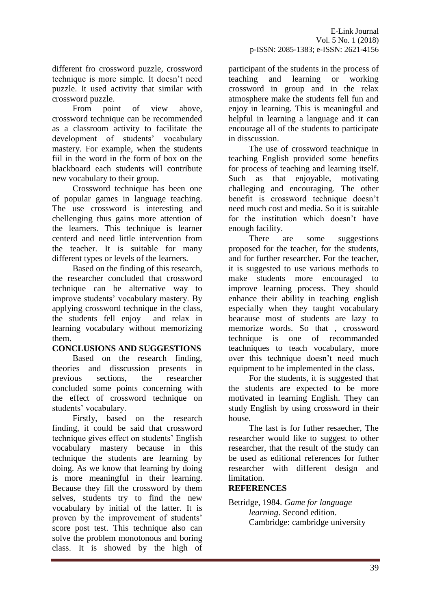different fro crossword puzzle, crossword technique is more simple. It doesn't need puzzle. It used activity that similar with crossword puzzle.

From point of view above, crossword technique can be recommended as a classroom activity to facilitate the development of students' vocabulary mastery. For example, when the students fiil in the word in the form of box on the blackboard each students will contribute new vocabulary to their group.

Crossword technique has been one of popular games in language teaching. The use crossword is interesting and chellenging thus gains more attention of the learners. This technique is learner centerd and need little intervention from the teacher. It is suitable for many different types or levels of the learners.

Based on the finding of this research, the researcher concluded that crossword technique can be alternative way to improve students' vocabulary mastery. By applying crossword technique in the class, the students fell enjoy and relax in learning vocabulary without memorizing them.

# **CONCLUSIONS AND SUGGESTIONS**

Based on the research finding, theories and disscussion presents in previous sections, the researcher concluded some points concerning with the effect of crossword technique on students' vocabulary.

Firstly, based on the research finding, it could be said that crossword technique gives effect on students' English vocabulary mastery because in this technique the students are learning by doing. As we know that learning by doing is more meaningful in their learning. Because they fill the crossword by them selves, students try to find the new vocabulary by initial of the latter. It is proven by the improvement of students' score post test. This technique also can solve the problem monotonous and boring class. It is showed by the high of participant of the students in the process of teaching and learning or working crossword in group and in the relax atmosphere make the students fell fun and enjoy in learning. This is meaningful and helpful in learning a language and it can encourage all of the students to participate in disscussion.

The use of crossword teachnique in teaching English provided some benefits for process of teaching and learning itself. Such as that enjoyable, motivating challeging and encouraging. The other benefit is crossword technique doesn't need much cost and media. So it is suitable for the institution which doesn't have enough facility.

There are some suggestions proposed for the teacher, for the students, and for further researcher. For the teacher, it is suggested to use various methods to make students more encouraged to improve learning process. They should enhance their ability in teaching english especially when they taught vocabulary beacause most of students are lazy to memorize words. So that , crossword technique is one of recommanded teachniques to teach vocabulary, more over this technique doesn't need much equipment to be implemented in the class.

For the students, it is suggested that the students are expected to be more motivated in learning English. They can study English by using crossword in their house.

The last is for futher resaecher, The researcher would like to suggest to other researcher, that the result of the study can be used as editional references for futher researcher with different design and limitation.

# **REFERENCES**

Betridge, 1984. *Game for language learning*. Second edition. Cambridge: cambridge university